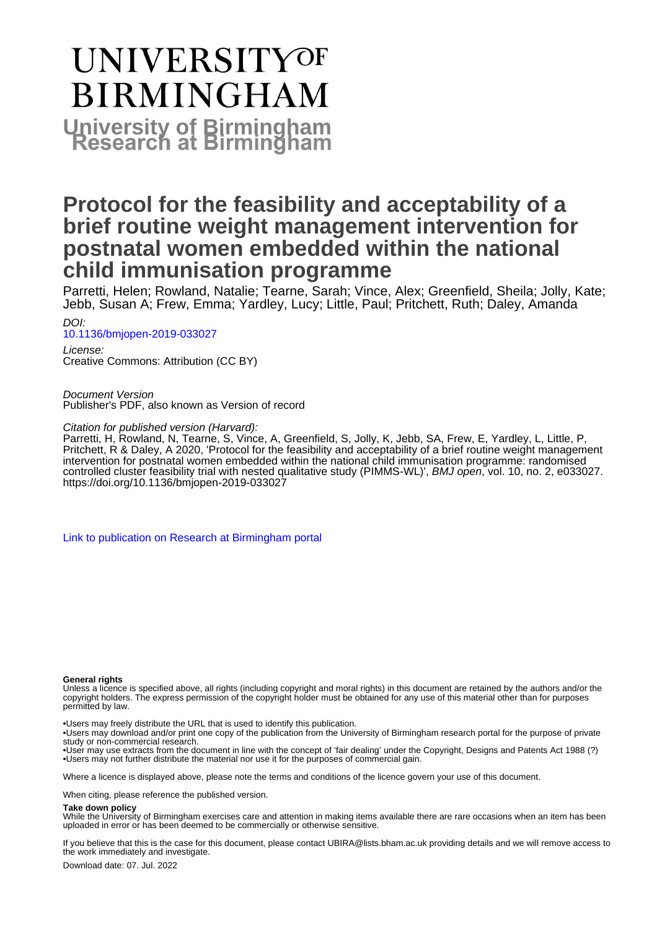# **UNIVERSITYOF BIRMINGHAM University of Birmingham**

## **Protocol for the feasibility and acceptability of a brief routine weight management intervention for postnatal women embedded within the national child immunisation programme**

Parretti, Helen; Rowland, Natalie; Tearne, Sarah; Vince, Alex; Greenfield, Sheila; Jolly, Kate; Jebb, Susan A; Frew, Emma; Yardley, Lucy; Little, Paul; Pritchett, Ruth; Daley, Amanda

DOI: [10.1136/bmjopen-2019-033027](https://doi.org/10.1136/bmjopen-2019-033027)

License: Creative Commons: Attribution (CC BY)

Document Version Publisher's PDF, also known as Version of record

Citation for published version (Harvard):

Parretti, H, Rowland, N, Tearne, S, Vince, A, Greenfield, S, Jolly, K, Jebb, SA, Frew, E, Yardley, L, Little, P, Pritchett, R & Daley, A 2020, 'Protocol for the feasibility and acceptability of a brief routine weight management intervention for postnatal women embedded within the national child immunisation programme: randomised controlled cluster feasibility trial with nested qualitative study (PIMMS-WL)', BMJ open, vol. 10, no. 2, e033027. <https://doi.org/10.1136/bmjopen-2019-033027>

[Link to publication on Research at Birmingham portal](https://birmingham.elsevierpure.com/en/publications/f7bbe867-7e0f-4d7d-98ea-4943a00c6df8)

#### **General rights**

Unless a licence is specified above, all rights (including copyright and moral rights) in this document are retained by the authors and/or the copyright holders. The express permission of the copyright holder must be obtained for any use of this material other than for purposes permitted by law.

• Users may freely distribute the URL that is used to identify this publication.

• Users may download and/or print one copy of the publication from the University of Birmingham research portal for the purpose of private study or non-commercial research.

• User may use extracts from the document in line with the concept of 'fair dealing' under the Copyright, Designs and Patents Act 1988 (?) • Users may not further distribute the material nor use it for the purposes of commercial gain.

Where a licence is displayed above, please note the terms and conditions of the licence govern your use of this document.

When citing, please reference the published version.

#### **Take down policy**

While the University of Birmingham exercises care and attention in making items available there are rare occasions when an item has been uploaded in error or has been deemed to be commercially or otherwise sensitive.

If you believe that this is the case for this document, please contact UBIRA@lists.bham.ac.uk providing details and we will remove access to the work immediately and investigate.

Download date: 07. Jul. 2022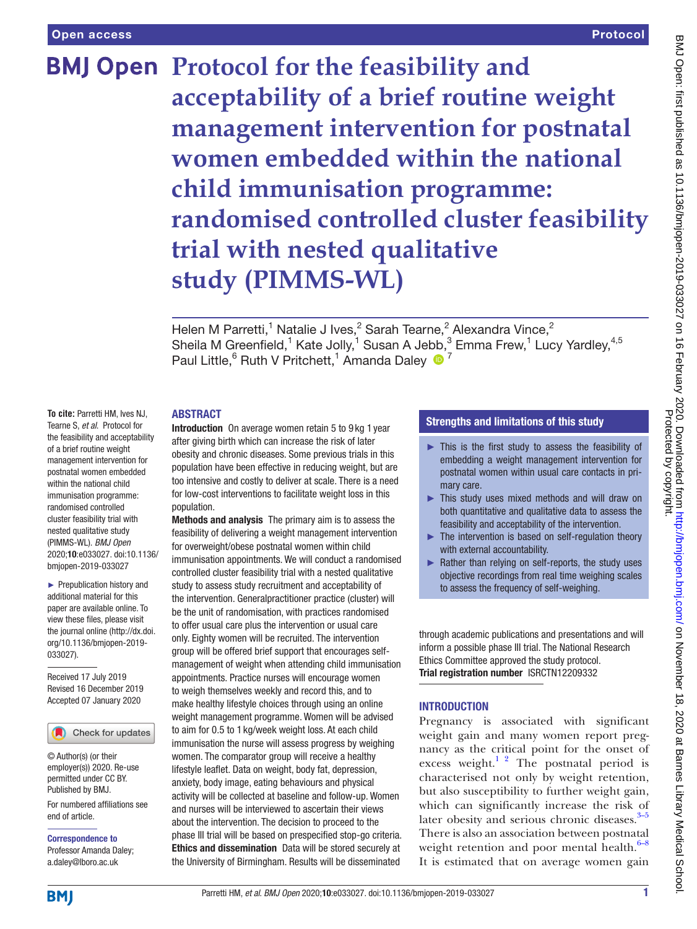## **BMJ Open Protocol for the feasibility and acceptability of a brief routine weight management intervention for postnatal women embedded within the national child immunisation programme: randomised controlled cluster feasibility trial with nested qualitative study (PIMMS-WL)**

Helen M Parretti,<sup>1</sup> Natalie J Ives,<sup>2</sup> Sarah Tearne,<sup>2</sup> Alexandra Vince,<sup>2</sup> Sheila M Greenfield,<sup>1</sup> Kate Jolly,<sup>1</sup> Susan A Jebb,<sup>3</sup> Emma Frew,<sup>1</sup> Lucy Yardley,<sup>4,5</sup> Paul Little, <sup>6</sup> Ruth V Pritchett, <sup>1</sup> Amanda Daley <sup>1</sup>

#### **ABSTRACT**

**To cite:** Parretti HM, Ives NJ, Tearne S, *et al*. Protocol for the feasibility and acceptability of a brief routine weight management intervention for postnatal women embedded within the national child immunisation programme: randomised controlled cluster feasibility trial with nested qualitative study (PIMMS-WL). *BMJ Open* 2020;10:e033027. doi:10.1136/ bmjopen-2019-033027

► Prepublication history and additional material for this paper are available online. To view these files, please visit the journal online (http://dx.doi. org/10.1136/bmjopen-2019- 033027).

Received 17 July 2019 Revised 16 December 2019 Accepted 07 January 2020

Check for updates

© Author(s) (or their employer(s)) 2020. Re-use permitted under CC BY. Published by BMJ.

For numbered affiliations see end of article.

Correspondence to Professor Amanda Daley; a.daley@lboro.ac.uk

Introduction On average women retain 5 to 9 kg 1 year after giving birth which can increase the risk of later obesity and chronic diseases. Some previous trials in this population have been effective in reducing weight, but are too intensive and costly to deliver at scale. There is a need for low-cost interventions to facilitate weight loss in this population.

Methods and analysis The primary aim is to assess the feasibility of delivering a weight management intervention for overweight/obese postnatal women within child immunisation appointments. We will conduct a randomised controlled cluster feasibility trial with a nested qualitative study to assess study recruitment and acceptability of the intervention. Generalpractitioner practice (cluster) will be the unit of randomisation, with practices randomised to offer usual care plus the intervention or usual care only. Eighty women will be recruited. The intervention group will be offered brief support that encourages selfmanagement of weight when attending child immunisation appointments. Practice nurses will encourage women to weigh themselves weekly and record this, and to make healthy lifestyle choices through using an online weight management programme. Women will be advised to aim for 0.5 to 1 kg/week weight loss. At each child immunisation the nurse will assess progress by weighing women. The comparator group will receive a healthy lifestyle leaflet. Data on weight, body fat, depression, anxiety, body image, eating behaviours and physical activity will be collected at baseline and follow-up. Women and nurses will be interviewed to ascertain their views about the intervention. The decision to proceed to the phase III trial will be based on prespecified stop-go criteria. Ethics and dissemination Data will be stored securely at the University of Birmingham. Results will be disseminated

#### Strengths and limitations of this study

- ► This is the first study to assess the feasibility of embedding a weight management intervention for postnatal women within usual care contacts in primary care.
- ► This study uses mixed methods and will draw on both quantitative and qualitative data to assess the feasibility and acceptability of the intervention.
- ► The intervention is based on self-regulation theory with external accountability.
- Rather than relying on self-reports, the study uses objective recordings from real time weighing scales to assess the frequency of self-weighing.

through academic publications and presentations and will inform a possible phase III trial. The National Research Ethics Committee approved the study protocol. Trial registration number <ISRCTN12209332>

#### **INTRODUCTION**

Pregnancy is associated with significant weight gain and many women report pregnancy as the critical point for the onset of excess weight.<sup>1 2</sup> The postnatal period is characterised not only by weight retention, but also susceptibility to further weight gain, which can significantly increase the risk of later obesity and serious chronic diseases. $3-5$ There is also an association between postnatal weight retention and poor mental health. $6-8$ It is estimated that on average women gain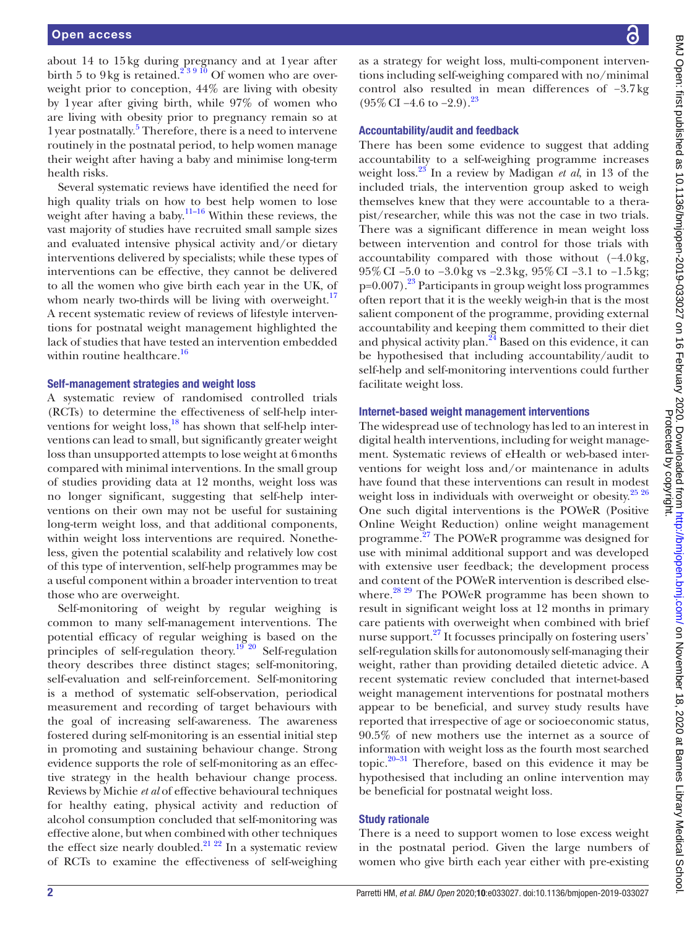about 14 to 15kg during pregnancy and at 1year after birth 5 to 9kg is retained.<sup>239 10</sup> Of women who are overweight prior to conception, 44% are living with obesity by 1year after giving birth, while 97% of women who are living with obesity prior to pregnancy remain so at 1 year postnatally.<sup>[5](#page-8-4)</sup> Therefore, there is a need to intervene routinely in the postnatal period, to help women manage their weight after having a baby and minimise long-term health risks.

Several systematic reviews have identified the need for high quality trials on how to best help women to lose weight after having a baby.<sup>[11–16](#page-8-5)</sup> Within these reviews, the vast majority of studies have recruited small sample sizes and evaluated intensive physical activity and/or dietary interventions delivered by specialists; while these types of interventions can be effective, they cannot be delivered to all the women who give birth each year in the UK, of whom nearly two-thirds will be living with overweight. $17$ A recent systematic review of reviews of lifestyle interventions for postnatal weight management highlighted the lack of studies that have tested an intervention embedded within routine healthcare.<sup>[16](#page-8-7)</sup>

#### Self-management strategies and weight loss

A systematic review of randomised controlled trials (RCTs) to determine the effectiveness of self-help interventions for weight  $loss<sup>18</sup>$  $loss<sup>18</sup>$  $loss<sup>18</sup>$  has shown that self-help interventions can lead to small, but significantly greater weight loss than unsupported attempts to lose weight at 6months compared with minimal interventions. In the small group of studies providing data at 12 months, weight loss was no longer significant, suggesting that self-help interventions on their own may not be useful for sustaining long-term weight loss, and that additional components, within weight loss interventions are required. Nonetheless, given the potential scalability and relatively low cost of this type of intervention, self-help programmes may be a useful component within a broader intervention to treat those who are overweight.

Self-monitoring of weight by regular weighing is common to many self-management interventions. The potential efficacy of regular weighing is based on the principles of self-regulation theory.[19 20](#page-8-9) Self-regulation theory describes three distinct stages; self-monitoring, self-evaluation and self-reinforcement. Self-monitoring is a method of systematic self-observation, periodical measurement and recording of target behaviours with the goal of increasing self-awareness. The awareness fostered during self-monitoring is an essential initial step in promoting and sustaining behaviour change. Strong evidence supports the role of self-monitoring as an effective strategy in the health behaviour change process. Reviews by Michie *et al* of effective behavioural techniques for healthy eating, physical activity and reduction of alcohol consumption concluded that self-monitoring was effective alone, but when combined with other techniques the effect size nearly doubled.<sup>21</sup>  $^{22}$  In a systematic review of RCTs to examine the effectiveness of self-weighing

as a strategy for weight loss, multi-component interventions including self-weighing compared with no/minimal control also resulted in mean differences of −3.7kg  $(95\% \text{ CI} - 4.6 \text{ to } -2.9).^{23}$ 

#### Accountability/audit and feedback

There has been some evidence to suggest that adding accountability to a self-weighing programme increases weight loss.[23](#page-8-11) In a review by Madigan *et al*, in 13 of the included trials, the intervention group asked to weigh themselves knew that they were accountable to a therapist/researcher, while this was not the case in two trials. There was a significant difference in mean weight loss between intervention and control for those trials with accountability compared with those without (−4.0kg, 95%CI −5.0 to −3.0kg vs −2.3kg, 95%CI −3.1 to −1.5kg;  $p=0.007$ ).<sup>23</sup> Participants in group weight loss programmes often report that it is the weekly weigh-in that is the most salient component of the programme, providing external accountability and keeping them committed to their diet and physical activity plan. $^{24}$  $^{24}$  $^{24}$  Based on this evidence, it can be hypothesised that including accountability/audit to self-help and self-monitoring interventions could further facilitate weight loss.

#### Internet-based weight management interventions

The widespread use of technology has led to an interest in digital health interventions, including for weight management. Systematic reviews of eHealth or web-based interventions for weight loss and/or maintenance in adults have found that these interventions can result in modest weight loss in individuals with overweight or obesity.<sup>[25 26](#page-8-13)</sup> One such digital interventions is the POWeR (Positive Online Weight Reduction) online weight management programme.[27](#page-8-14) The POWeR programme was designed for use with minimal additional support and was developed with extensive user feedback; the development process and content of the POWeR intervention is described else-where.<sup>[28 29](#page-8-15)</sup> The POWeR programme has been shown to result in significant weight loss at 12 months in primary care patients with overweight when combined with brief nurse support.<sup>27</sup> It focusses principally on fostering users' self-regulation skills for autonomously self-managing their weight, rather than providing detailed dietetic advice. A recent systematic review concluded that internet-based weight management interventions for postnatal mothers appear to be beneficial, and survey study results have reported that irrespective of age or socioeconomic status, 90.5% of new mothers use the internet as a source of information with weight loss as the fourth most searched topic. $20-31$  Therefore, based on this evidence it may be hypothesised that including an online intervention may be beneficial for postnatal weight loss.

#### Study rationale

There is a need to support women to lose excess weight in the postnatal period. Given the large numbers of women who give birth each year either with pre-existing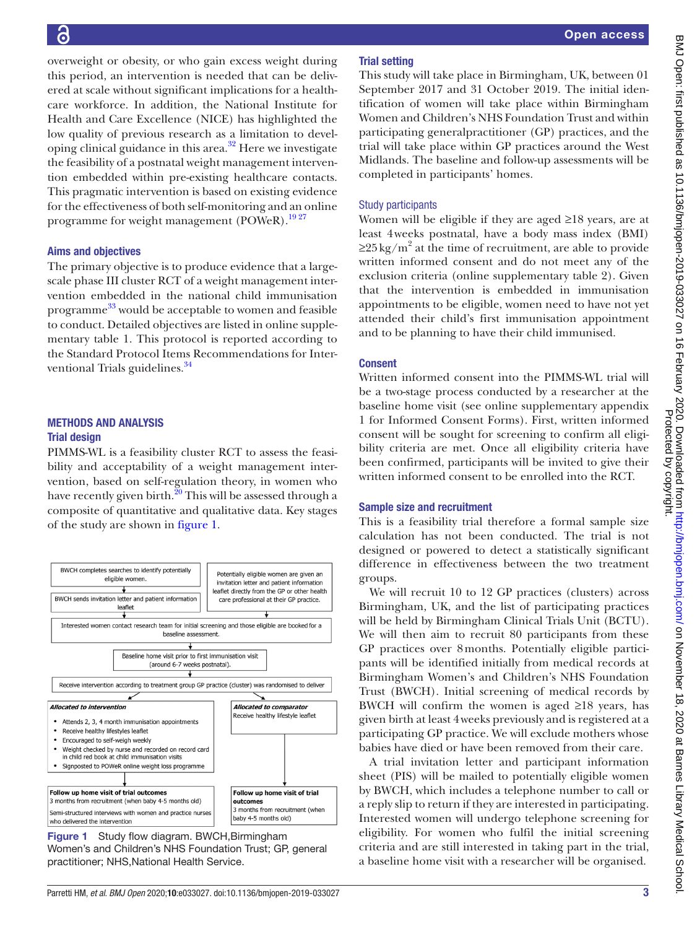### <u>ခြ</u>

overweight or obesity, or who gain excess weight during this period, an intervention is needed that can be delivered at scale without significant implications for a healthcare workforce. In addition, the National Institute for Health and Care Excellence (NICE) has highlighted the low quality of previous research as a limitation to developing clinical guidance in this area. $32$  Here we investigate the feasibility of a postnatal weight management intervention embedded within pre-existing healthcare contacts. This pragmatic intervention is based on existing evidence for the effectiveness of both self-monitoring and an online programme for weight management (POWeR).<sup>1927</sup>

#### Aims and objectives

The primary objective is to produce evidence that a largescale phase III cluster RCT of a weight management intervention embedded in the national child immunisation programme [33](#page-8-18) would be acceptable to women and feasible to conduct. Detailed objectives are listed in [online supple](https://dx.doi.org/10.1136/bmjopen-2019-033027)[mentary table 1](https://dx.doi.org/10.1136/bmjopen-2019-033027). This protocol is reported according to the Standard Protocol Items Recommendations for Interventional Trials guidelines.<sup>34</sup>

#### Methods and analysis Trial design

PIMMS-WL is a feasibility cluster RCT to assess the feasibility and acceptability of a weight management intervention, based on self-regulation theory, in women who have recently given birth.<sup>20</sup> This will be assessed through a composite of quantitative and qualitative data. Key stages of the study are shown in [figure](#page-3-0) 1.



<span id="page-3-0"></span>Figure 1 Study flow diagram. BWCH, Birmingham Women's and Children's NHS Foundation Trust; GP, general practitioner; NHS,National Health Service.

#### Trial setting

This study will take place in Birmingham, UK, between 01 September 2017 and 31 October 2019. The initial identification of women will take place within Birmingham Women and Children's NHS Foundation Trust and within participating generalpractitioner (GP) practices, and the trial will take place within GP practices around the West Midlands. The baseline and follow-up assessments will be completed in participants' homes.

#### Study participants

Women will be eligible if they are aged ≥18 years, are at least 4weeks postnatal, have a body mass index (BMI)  $\geq$ 25 kg/m<sup>2</sup> at the time of recruitment, are able to provide written informed consent and do not meet any of the exclusion criteria [\(online supplementary table 2](https://dx.doi.org/10.1136/bmjopen-2019-033027)). Given that the intervention is embedded in immunisation appointments to be eligible, women need to have not yet attended their child's first immunisation appointment and to be planning to have their child immunised.

#### Consent

Written informed consent into the PIMMS-WL trial will be a two-stage process conducted by a researcher at the baseline home visit (see [online supplementary appendix](https://dx.doi.org/10.1136/bmjopen-2019-033027)  [1](https://dx.doi.org/10.1136/bmjopen-2019-033027) for Informed Consent Forms). First, written informed consent will be sought for screening to confirm all eligibility criteria are met. Once all eligibility criteria have been confirmed, participants will be invited to give their written informed consent to be enrolled into the RCT.

#### Sample size and recruitment

This is a feasibility trial therefore a formal sample size calculation has not been conducted. The trial is not designed or powered to detect a statistically significant difference in effectiveness between the two treatment groups.

We will recruit 10 to 12 GP practices (clusters) across Birmingham, UK, and the list of participating practices will be held by Birmingham Clinical Trials Unit (BCTU). We will then aim to recruit 80 participants from these GP practices over 8months. Potentially eligible participants will be identified initially from medical records at Birmingham Women's and Children's NHS Foundation Trust (BWCH). Initial screening of medical records by BWCH will confirm the women is aged  $\geq 18$  years, has given birth at least 4weeks previously and is registered at a participating GP practice. We will exclude mothers whose babies have died or have been removed from their care.

A trial invitation letter and participant information sheet (PIS) will be mailed to potentially eligible women by BWCH, which includes a telephone number to call or a reply slip to return if they are interested in participating. Interested women will undergo telephone screening for eligibility. For women who fulfil the initial screening criteria and are still interested in taking part in the trial, a baseline home visit with a researcher will be organised.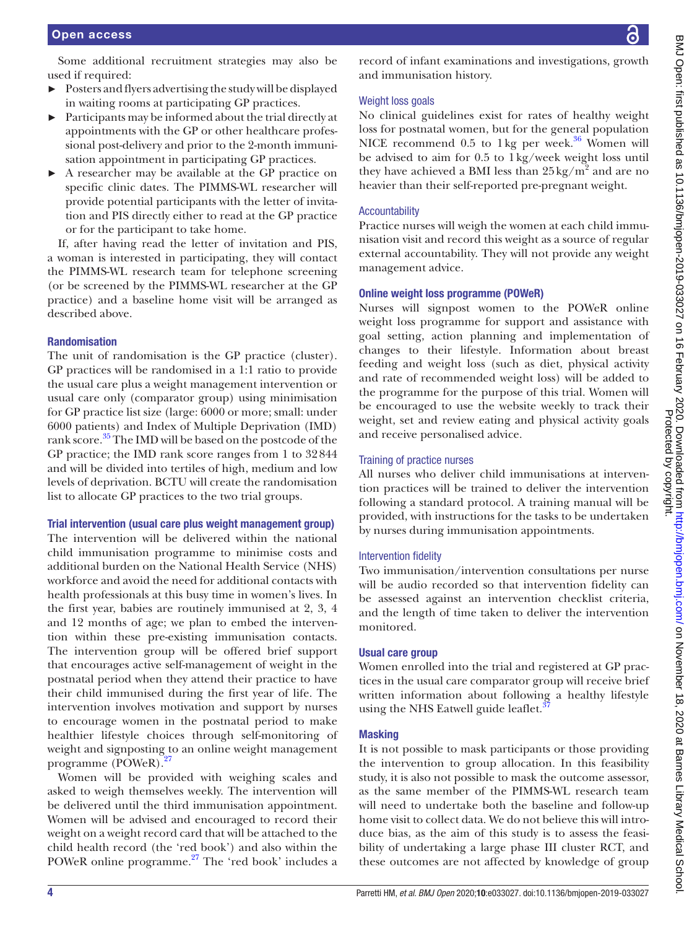Some additional recruitment strategies may also be used if required:

- ► Posters and flyers advertising the study will be displayed in waiting rooms at participating GP practices.
- ► Participants may be informed about the trial directly at appointments with the GP or other healthcare professional post-delivery and prior to the 2-month immunisation appointment in participating GP practices.
- ► A researcher may be available at the GP practice on specific clinic dates. The PIMMS-WL researcher will provide potential participants with the letter of invitation and PIS directly either to read at the GP practice or for the participant to take home.

If, after having read the letter of invitation and PIS, a woman is interested in participating, they will contact the PIMMS-WL research team for telephone screening (or be screened by the PIMMS-WL researcher at the GP practice) and a baseline home visit will be arranged as described above.

#### Randomisation

The unit of randomisation is the GP practice (cluster). GP practices will be randomised in a 1:1 ratio to provide the usual care plus a weight management intervention or usual care only (comparator group) using minimisation for GP practice list size (large: 6000 or more; small: under 6000 patients) and Index of Multiple Deprivation (IMD) rank score.<sup>35</sup> The IMD will be based on the postcode of the GP practice; the IMD rank score ranges from 1 to 32844 and will be divided into tertiles of high, medium and low levels of deprivation. BCTU will create the randomisation list to allocate GP practices to the two trial groups.

#### Trial intervention (usual care plus weight management group)

The intervention will be delivered within the national child immunisation programme to minimise costs and additional burden on the National Health Service (NHS) workforce and avoid the need for additional contacts with health professionals at this busy time in women's lives. In the first year, babies are routinely immunised at 2, 3, 4 and 12 months of age; we plan to embed the intervention within these pre-existing immunisation contacts. The intervention group will be offered brief support that encourages active self-management of weight in the postnatal period when they attend their practice to have their child immunised during the first year of life. The intervention involves motivation and support by nurses to encourage women in the postnatal period to make healthier lifestyle choices through self-monitoring of weight and signposting to an online weight management programme (POWeR)[.27](#page-8-14)

Women will be provided with weighing scales and asked to weigh themselves weekly. The intervention will be delivered until the third immunisation appointment. Women will be advised and encouraged to record their weight on a weight record card that will be attached to the child health record (the 'red book') and also within the POWeR online programme.<sup>[27](#page-8-14)</sup> The 'red book' includes a record of infant examinations and investigations, growth and immunisation history.

#### Weight loss goals

No clinical guidelines exist for rates of healthy weight loss for postnatal women, but for the general population NICE recommend  $0.5$  to 1 kg per week.<sup>36</sup> Women will be advised to aim for 0.5 to 1kg/week weight loss until they have achieved a BMI less than  $25 \text{ kg/m}^2$  and are no heavier than their self-reported pre-pregnant weight.

#### Accountability

Practice nurses will weigh the women at each child immunisation visit and record this weight as a source of regular external accountability. They will not provide any weight management advice.

#### Online weight loss programme (POWeR)

Nurses will signpost women to the POWeR online weight loss programme for support and assistance with goal setting, action planning and implementation of changes to their lifestyle. Information about breast feeding and weight loss (such as diet, physical activity and rate of recommended weight loss) will be added to the programme for the purpose of this trial. Women will be encouraged to use the website weekly to track their weight, set and review eating and physical activity goals and receive personalised advice.

#### Training of practice nurses

All nurses who deliver child immunisations at intervention practices will be trained to deliver the intervention following a standard protocol. A training manual will be provided, with instructions for the tasks to be undertaken by nurses during immunisation appointments.

#### Intervention fidelity

Two immunisation/intervention consultations per nurse will be audio recorded so that intervention fidelity can be assessed against an intervention checklist criteria, and the length of time taken to deliver the intervention monitored.

#### Usual care group

Women enrolled into the trial and registered at GP practices in the usual care comparator group will receive brief written information about following a healthy lifestyle using the NHS Eatwell guide leaflet.<sup>3</sup>

#### **Masking**

It is not possible to mask participants or those providing the intervention to group allocation. In this feasibility study, it is also not possible to mask the outcome assessor, as the same member of the PIMMS-WL research team will need to undertake both the baseline and follow-up home visit to collect data. We do not believe this will introduce bias, as the aim of this study is to assess the feasibility of undertaking a large phase III cluster RCT, and these outcomes are not affected by knowledge of group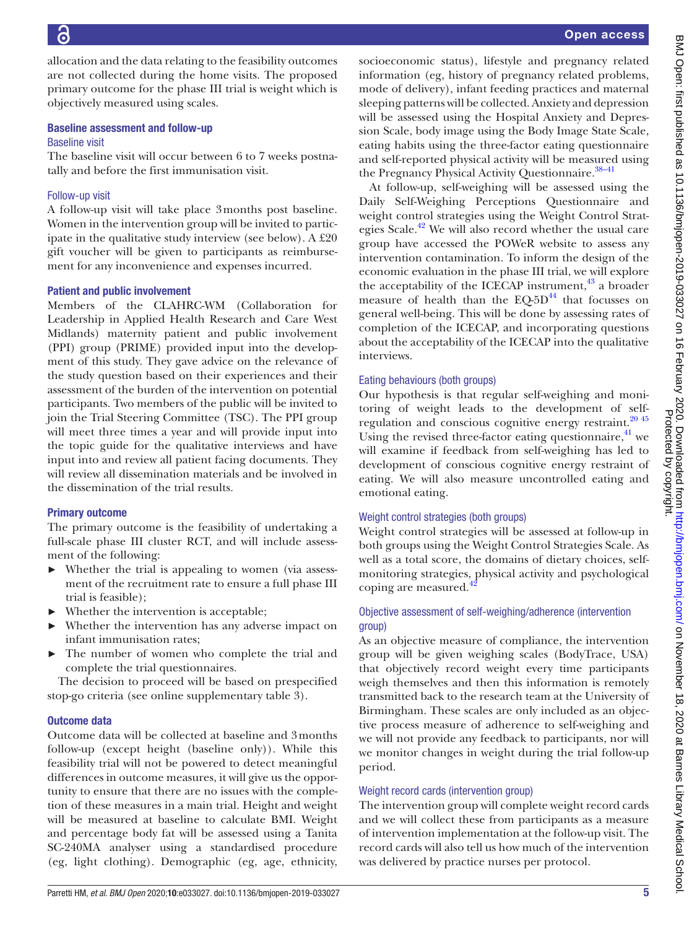Õ

allocation and the data relating to the feasibility outcomes are not collected during the home visits. The proposed primary outcome for the phase III trial is weight which is objectively measured using scales.

#### Baseline assessment and follow-up Baseline visit

The baseline visit will occur between 6 to 7 weeks postnatally and before the first immunisation visit.

#### Follow-up visit

A follow-up visit will take place 3months post baseline. Women in the intervention group will be invited to participate in the qualitative study interview (see below). A £20 gift voucher will be given to participants as reimbursement for any inconvenience and expenses incurred.

#### Patient and public involvement

Members of the CLAHRC-WM (Collaboration for Leadership in Applied Health Research and Care West Midlands) maternity patient and public involvement (PPI) group (PRIME) provided input into the development of this study. They gave advice on the relevance of the study question based on their experiences and their assessment of the burden of the intervention on potential participants. Two members of the public will be invited to join the Trial Steering Committee (TSC). The PPI group will meet three times a year and will provide input into the topic guide for the qualitative interviews and have input into and review all patient facing documents. They will review all dissemination materials and be involved in the dissemination of the trial results.

#### Primary outcome

The primary outcome is the feasibility of undertaking a full-scale phase III cluster RCT, and will include assessment of the following:

- Whether the trial is appealing to women (via assessment of the recruitment rate to ensure a full phase III trial is feasible);
- Whether the intervention is acceptable;
- Whether the intervention has any adverse impact on infant immunisation rates;
- The number of women who complete the trial and complete the trial questionnaires.

The decision to proceed will be based on prespecified stop-go criteria (see [online supplementary table 3](https://dx.doi.org/10.1136/bmjopen-2019-033027)).

#### Outcome data

Outcome data will be collected at baseline and 3months follow-up (except height (baseline only)). While this feasibility trial will not be powered to detect meaningful differences in outcome measures, it will give us the opportunity to ensure that there are no issues with the completion of these measures in a main trial. Height and weight will be measured at baseline to calculate BMI. Weight and percentage body fat will be assessed using a Tanita SC-240MA analyser using a standardised procedure (eg, light clothing). Demographic (eg, age, ethnicity,

socioeconomic status), lifestyle and pregnancy related information (eg, history of pregnancy related problems, mode of delivery), infant feeding practices and maternal sleeping patterns will be collected. Anxiety and depression will be assessed using the Hospital Anxiety and Depression Scale, body image using the Body Image State Scale, eating habits using the three-factor eating questionnaire and self-reported physical activity will be measured using the Pregnancy Physical Activity Questionnaire.<sup>38–41</sup>

At follow-up, self-weighing will be assessed using the Daily Self-Weighing Perceptions Questionnaire and weight control strategies using the Weight Control Strategies Scale.<sup>42</sup> We will also record whether the usual care group have accessed the POWeR website to assess any intervention contamination. To inform the design of the economic evaluation in the phase III trial, we will explore the acceptability of the ICECAP instrument, $43$  a broader measure of health than the  $EQ-5D<sup>44</sup>$  that focusses on general well-being. This will be done by assessing rates of completion of the ICECAP, and incorporating questions about the acceptability of the ICECAP into the qualitative interviews.

#### Eating behaviours (both groups)

Our hypothesis is that regular self-weighing and monitoring of weight leads to the development of self-regulation and conscious cognitive energy restraint.<sup>[20 45](#page-8-16)</sup> Using the revised three-factor eating questionnaire, $4^1$  we will examine if feedback from self-weighing has led to development of conscious cognitive energy restraint of eating. We will also measure uncontrolled eating and emotional eating.

#### Weight control strategies (both groups)

Weight control strategies will be assessed at follow-up in both groups using the Weight Control Strategies Scale. As well as a total score, the domains of dietary choices, selfmonitoring strategies, physical activity and psychological coping are measured.

#### Objective assessment of self-weighing/adherence (intervention group)

As an objective measure of compliance, the intervention group will be given weighing scales (BodyTrace, USA) that objectively record weight every time participants weigh themselves and then this information is remotely transmitted back to the research team at the University of Birmingham. These scales are only included as an objective process measure of adherence to self-weighing and we will not provide any feedback to participants, nor will we monitor changes in weight during the trial follow-up period.

#### Weight record cards (intervention group)

The intervention group will complete weight record cards and we will collect these from participants as a measure of intervention implementation at the follow-up visit. The record cards will also tell us how much of the intervention was delivered by practice nurses per protocol.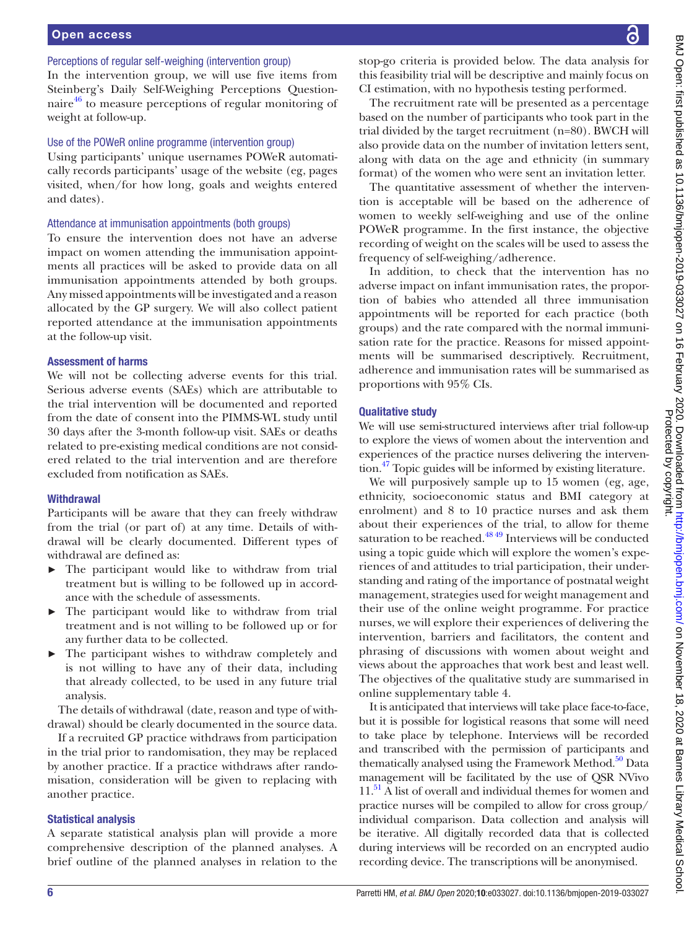#### Perceptions of regular self-weighing (intervention group)

In the intervention group, we will use five items from Steinberg's Daily Self-Weighing Perceptions Questionnaire<sup>46</sup> to measure perceptions of regular monitoring of weight at follow-up.

#### Use of the POWeR online programme (intervention group)

Using participants' unique usernames POWeR automatically records participants' usage of the website (eg, pages visited, when/for how long, goals and weights entered and dates).

#### Attendance at immunisation appointments (both groups)

To ensure the intervention does not have an adverse impact on women attending the immunisation appointments all practices will be asked to provide data on all immunisation appointments attended by both groups. Any missed appointments will be investigated and a reason allocated by the GP surgery. We will also collect patient reported attendance at the immunisation appointments at the follow-up visit.

#### Assessment of harms

We will not be collecting adverse events for this trial. Serious adverse events (SAEs) which are attributable to the trial intervention will be documented and reported from the date of consent into the PIMMS-WL study until 30 days after the 3-month follow-up visit. SAEs or deaths related to pre-existing medical conditions are not considered related to the trial intervention and are therefore excluded from notification as SAEs.

#### **Withdrawal**

Participants will be aware that they can freely withdraw from the trial (or part of) at any time. Details of withdrawal will be clearly documented. Different types of withdrawal are defined as:

- ► The participant would like to withdraw from trial treatment but is willing to be followed up in accordance with the schedule of assessments.
- ► The participant would like to withdraw from trial treatment and is not willing to be followed up or for any further data to be collected.
- The participant wishes to withdraw completely and is not willing to have any of their data, including that already collected, to be used in any future trial analysis.

The details of withdrawal (date, reason and type of withdrawal) should be clearly documented in the source data.

If a recruited GP practice withdraws from participation in the trial prior to randomisation, they may be replaced by another practice. If a practice withdraws after randomisation, consideration will be given to replacing with another practice.

#### Statistical analysis

A separate statistical analysis plan will provide a more comprehensive description of the planned analyses. A brief outline of the planned analyses in relation to the stop-go criteria is provided below. The data analysis for this feasibility trial will be descriptive and mainly focus on CI estimation, with no hypothesis testing performed.

The recruitment rate will be presented as a percentage based on the number of participants who took part in the trial divided by the target recruitment (n=80). BWCH will also provide data on the number of invitation letters sent, along with data on the age and ethnicity (in summary format) of the women who were sent an invitation letter.

The quantitative assessment of whether the intervention is acceptable will be based on the adherence of women to weekly self-weighing and use of the online POWeR programme. In the first instance, the objective recording of weight on the scales will be used to assess the frequency of self-weighing/adherence.

In addition, to check that the intervention has no adverse impact on infant immunisation rates, the proportion of babies who attended all three immunisation appointments will be reported for each practice (both groups) and the rate compared with the normal immunisation rate for the practice. Reasons for missed appointments will be summarised descriptively. Recruitment, adherence and immunisation rates will be summarised as proportions with 95% CIs.

#### Qualitative study

We will use semi-structured interviews after trial follow-up to explore the views of women about the intervention and experiences of the practice nurses delivering the intervention[.47](#page-8-29) Topic guides will be informed by existing literature.

We will purposively sample up to 15 women (eg, age, ethnicity, socioeconomic status and BMI category at enrolment) and 8 to 10 practice nurses and ask them about their experiences of the trial, to allow for theme saturation to be reached.<sup>48 49</sup> Interviews will be conducted using a topic guide which will explore the women's experiences of and attitudes to trial participation, their understanding and rating of the importance of postnatal weight management, strategies used for weight management and their use of the online weight programme. For practice nurses, we will explore their experiences of delivering the intervention, barriers and facilitators, the content and phrasing of discussions with women about weight and views about the approaches that work best and least well. The objectives of the qualitative study are summarised in [online supplementary table 4](https://dx.doi.org/10.1136/bmjopen-2019-033027).

It is anticipated that interviews will take place face-to-face, but it is possible for logistical reasons that some will need to take place by telephone. Interviews will be recorded and transcribed with the permission of participants and thematically analysed using the Framework Method.<sup>50</sup> Data management will be facilitated by the use of QSR NVivo 11.<sup>51</sup> A list of overall and individual themes for women and practice nurses will be compiled to allow for cross group/ individual comparison. Data collection and analysis will be iterative. All digitally recorded data that is collected during interviews will be recorded on an encrypted audio recording device. The transcriptions will be anonymised.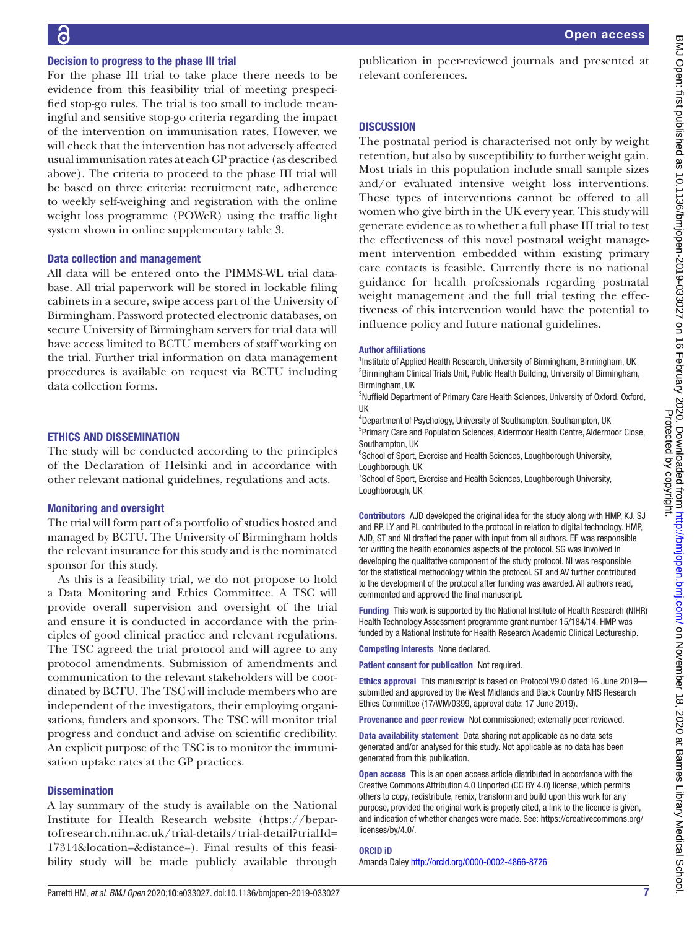#### Decision to progress to the phase III trial

For the phase III trial to take place there needs to be evidence from this feasibility trial of meeting prespecified stop-go rules. The trial is too small to include meaningful and sensitive stop-go criteria regarding the impact of the intervention on immunisation rates. However, we will check that the intervention has not adversely affected usual immunisation rates at each GP practice (as described above). The criteria to proceed to the phase III trial will be based on three criteria: recruitment rate, adherence to weekly self-weighing and registration with the online weight loss programme (POWeR) using the traffic light system shown in [online supplementary table 3](https://dx.doi.org/10.1136/bmjopen-2019-033027).

#### Data collection and management

All data will be entered onto the PIMMS-WL trial database. All trial paperwork will be stored in lockable filing cabinets in a secure, swipe access part of the University of Birmingham. Password protected electronic databases, on secure University of Birmingham servers for trial data will have access limited to BCTU members of staff working on the trial. Further trial information on data management procedures is available on request via BCTU including data collection forms.

#### Ethics and dissemination

The study will be conducted according to the principles of the Declaration of Helsinki and in accordance with other relevant national guidelines, regulations and acts.

#### Monitoring and oversight

The trial will form part of a portfolio of studies hosted and managed by BCTU. The University of Birmingham holds the relevant insurance for this study and is the nominated sponsor for this study.

As this is a feasibility trial, we do not propose to hold a Data Monitoring and Ethics Committee. A TSC will provide overall supervision and oversight of the trial and ensure it is conducted in accordance with the principles of good clinical practice and relevant regulations. The TSC agreed the trial protocol and will agree to any protocol amendments. Submission of amendments and communication to the relevant stakeholders will be coordinated by BCTU. The TSC will include members who are independent of the investigators, their employing organisations, funders and sponsors. The TSC will monitor trial progress and conduct and advise on scientific credibility. An explicit purpose of the TSC is to monitor the immunisation uptake rates at the GP practices.

#### **Dissemination**

A lay summary of the study is available on the National Institute for Health Research website [\(https://bepar](https://bepartofresearch.nihr.ac.uk/trial-details/trial-detail?trialId=17314&location=&distance=)[tofresearch.nihr.ac.uk/trial-details/trial-detail?trialId=](https://bepartofresearch.nihr.ac.uk/trial-details/trial-detail?trialId=17314&location=&distance=) [17314&location=&distance=\)](https://bepartofresearch.nihr.ac.uk/trial-details/trial-detail?trialId=17314&location=&distance=). Final results of this feasibility study will be made publicly available through

Open access

publication in peer-reviewed journals and presented at relevant conferences.

#### **DISCUSSION**

The postnatal period is characterised not only by weight retention, but also by susceptibility to further weight gain. Most trials in this population include small sample sizes and/or evaluated intensive weight loss interventions. These types of interventions cannot be offered to all women who give birth in the UK every year. This study will generate evidence as to whether a full phase III trial to test the effectiveness of this novel postnatal weight management intervention embedded within existing primary care contacts is feasible. Currently there is no national guidance for health professionals regarding postnatal weight management and the full trial testing the effectiveness of this intervention would have the potential to influence policy and future national guidelines.

#### Author affiliations

<sup>1</sup>Institute of Applied Health Research, University of Birmingham, Birmingham, UK <sup>2</sup> Birmingham Clinical Trials Unit, Public Health Building, University of Birmingham, Birmingham, UK

<sup>3</sup>Nuffield Department of Primary Care Health Sciences, University of Oxford, Oxford, UK

4 Department of Psychology, University of Southampton, Southampton, UK

5 Primary Care and Population Sciences, Aldermoor Health Centre, Aldermoor Close, Southampton, UK

<sup>6</sup>School of Sport, Exercise and Health Sciences, Loughborough University, Loughborough, UK

<sup>7</sup> School of Sport, Exercise and Health Sciences, Loughborough University, Loughborough, UK

Contributors AJD developed the original idea for the study along with HMP, KJ, SJ and RP. LY and PL contributed to the protocol in relation to digital technology. HMP, AJD, ST and NI drafted the paper with input from all authors. EF was responsible for writing the health economics aspects of the protocol. SG was involved in developing the qualitative component of the study protocol. NI was responsible for the statistical methodology within the protocol. ST and AV further contributed to the development of the protocol after funding was awarded. All authors read, commented and approved the final manuscript.

Funding This work is supported by the National Institute of Health Research (NIHR) Health Technology Assessment programme grant number 15/184/14. HMP was funded by a National Institute for Health Research Academic Clinical Lectureship.

Competing interests None declared.

Patient consent for publication Not required.

Ethics approval This manuscript is based on Protocol V9.0 dated 16 June 2019 submitted and approved by the West Midlands and Black Country NHS Research Ethics Committee (17/WM/0399, approval date: 17 June 2019).

Provenance and peer review Not commissioned; externally peer reviewed.

Data availability statement Data sharing not applicable as no data sets generated and/or analysed for this study. Not applicable as no data has been generated from this publication.

Open access This is an open access article distributed in accordance with the Creative Commons Attribution 4.0 Unported (CC BY 4.0) license, which permits others to copy, redistribute, remix, transform and build upon this work for any purpose, provided the original work is properly cited, a link to the licence is given, and indication of whether changes were made. See: [https://creativecommons.org/](https://creativecommons.org/licenses/by/4.0/) [licenses/by/4.0/](https://creativecommons.org/licenses/by/4.0/).

#### ORCID iD

Amanda Daley<http://orcid.org/0000-0002-4866-8726>